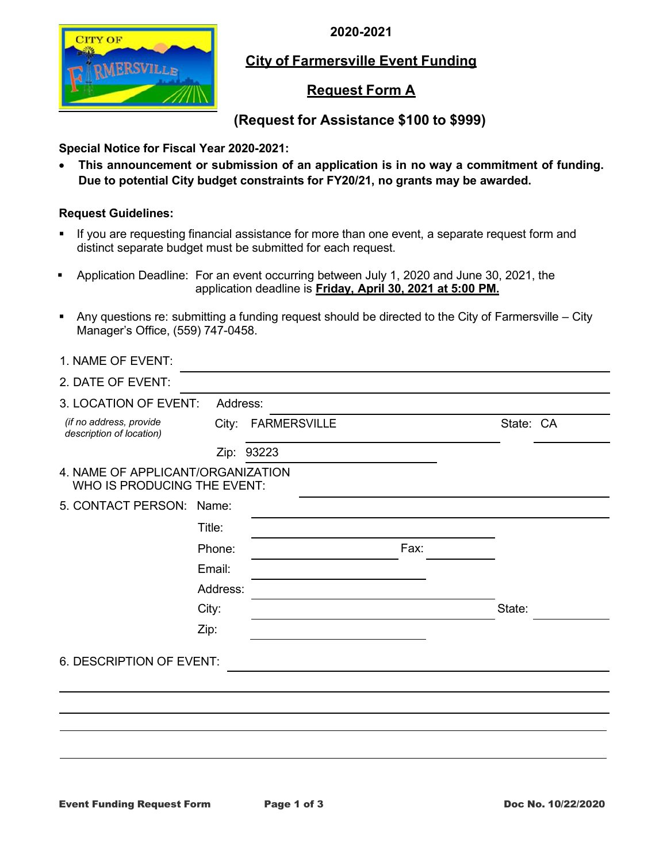**2020-2021**



## **City of Farmersville Event Funding**

## **Request Form A**

# **(Request for Assistance \$100 to \$999)**

## **Special Notice for Fiscal Year 2020-2021:**

• **This announcement or submission of an application is in no way a commitment of funding. Due to potential City budget constraints for FY20/21, no grants may be awarded.**

### **Request Guidelines:**

- If you are requesting financial assistance for more than one event, a separate request form and distinct separate budget must be submitted for each request.
- Application Deadline: For an event occurring between July 1, 2020 and June 30, 2021, the application deadline is **Friday, April 30, 2021 at 5:00 PM.**
- Any questions re: submitting a funding request should be directed to the City of Farmersville City Manager's Office, (559) 747-0458.

| 1. NAME OF EVENT:                                                |          |                    |      |           |
|------------------------------------------------------------------|----------|--------------------|------|-----------|
| 2. DATE OF EVENT:                                                |          |                    |      |           |
| 3. LOCATION OF EVENT:                                            | Address: |                    |      |           |
| (if no address, provide<br>description of location)              |          | City: FARMERSVILLE |      | State: CA |
|                                                                  |          | Zip: 93223         |      |           |
| 4. NAME OF APPLICANT/ORGANIZATION<br>WHO IS PRODUCING THE EVENT: |          |                    |      |           |
| 5. CONTACT PERSON: Name:                                         |          |                    |      |           |
|                                                                  | Title:   |                    |      |           |
|                                                                  | Phone:   |                    | Fax: |           |
|                                                                  | Email:   |                    |      |           |
|                                                                  | Address: |                    |      |           |
|                                                                  | City:    |                    |      | State:    |
|                                                                  | Zip:     |                    |      |           |
| 6. DESCRIPTION OF EVENT:                                         |          |                    |      |           |
|                                                                  |          |                    |      |           |
|                                                                  |          |                    |      |           |
|                                                                  |          |                    |      |           |
|                                                                  |          |                    |      |           |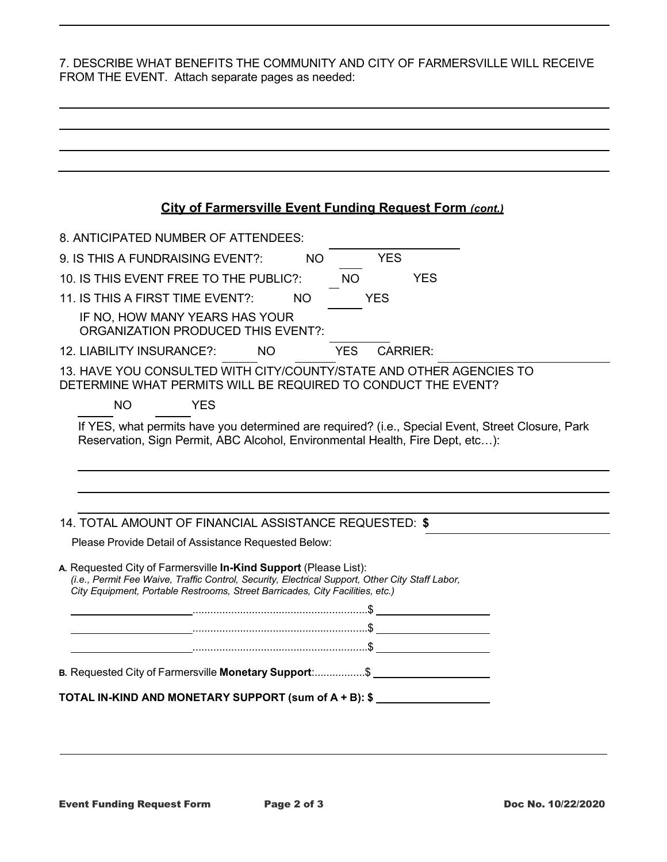7. DESCRIBE WHAT BENEFITS THE COMMUNITY AND CITY OF FARMERSVILLE WILL RECEIVE FROM THE EVENT. Attach separate pages as needed:

| <b>City of Farmersville Event Funding Request Form (cont.)</b><br>8. ANTICIPATED NUMBER OF ATTENDEES:<br><b>YES</b><br><b>NO</b><br><b>NO</b><br><b>YES</b><br><b>NO</b><br>YES<br>IF NO, HOW MANY YEARS HAS YOUR<br>ORGANIZATION PRODUCED THIS EVENT?:<br><b>YES</b><br><b>CARRIER:</b><br><b>NO</b><br><b>NO</b><br><b>YES</b><br>If YES, what permits have you determined are required? (i.e., Special Event, Street Closure, Park<br>Reservation, Sign Permit, ABC Alcohol, Environmental Health, Fire Dept, etc):<br>Please Provide Detail of Assistance Requested Below:<br>(i.e., Permit Fee Waive, Traffic Control, Security, Electrical Support, Other City Staff Labor,<br>City Equipment, Portable Restrooms, Street Barricades, City Facilities, etc.) |  |  |  |
|--------------------------------------------------------------------------------------------------------------------------------------------------------------------------------------------------------------------------------------------------------------------------------------------------------------------------------------------------------------------------------------------------------------------------------------------------------------------------------------------------------------------------------------------------------------------------------------------------------------------------------------------------------------------------------------------------------------------------------------------------------------------|--|--|--|
|                                                                                                                                                                                                                                                                                                                                                                                                                                                                                                                                                                                                                                                                                                                                                                    |  |  |  |
| 9. IS THIS A FUNDRAISING EVENT?:<br>10. IS THIS EVENT FREE TO THE PUBLIC?:<br>11. IS THIS A FIRST TIME EVENT?:<br>12. LIABILITY INSURANCE?:<br>13. HAVE YOU CONSULTED WITH CITY/COUNTY/STATE AND OTHER AGENCIES TO<br>DETERMINE WHAT PERMITS WILL BE REQUIRED TO CONDUCT THE EVENT?                                                                                                                                                                                                                                                                                                                                                                                                                                                                                |  |  |  |
|                                                                                                                                                                                                                                                                                                                                                                                                                                                                                                                                                                                                                                                                                                                                                                    |  |  |  |
|                                                                                                                                                                                                                                                                                                                                                                                                                                                                                                                                                                                                                                                                                                                                                                    |  |  |  |
|                                                                                                                                                                                                                                                                                                                                                                                                                                                                                                                                                                                                                                                                                                                                                                    |  |  |  |
|                                                                                                                                                                                                                                                                                                                                                                                                                                                                                                                                                                                                                                                                                                                                                                    |  |  |  |
|                                                                                                                                                                                                                                                                                                                                                                                                                                                                                                                                                                                                                                                                                                                                                                    |  |  |  |
|                                                                                                                                                                                                                                                                                                                                                                                                                                                                                                                                                                                                                                                                                                                                                                    |  |  |  |
|                                                                                                                                                                                                                                                                                                                                                                                                                                                                                                                                                                                                                                                                                                                                                                    |  |  |  |
| 14. TOTAL AMOUNT OF FINANCIAL ASSISTANCE REQUESTED: \$<br>A. Requested City of Farmersville In-Kind Support (Please List):<br>B. Requested City of Farmersville Monetary Support:\$<br>TOTAL IN-KIND AND MONETARY SUPPORT (sum of A + B): \$                                                                                                                                                                                                                                                                                                                                                                                                                                                                                                                       |  |  |  |
|                                                                                                                                                                                                                                                                                                                                                                                                                                                                                                                                                                                                                                                                                                                                                                    |  |  |  |
|                                                                                                                                                                                                                                                                                                                                                                                                                                                                                                                                                                                                                                                                                                                                                                    |  |  |  |
|                                                                                                                                                                                                                                                                                                                                                                                                                                                                                                                                                                                                                                                                                                                                                                    |  |  |  |
|                                                                                                                                                                                                                                                                                                                                                                                                                                                                                                                                                                                                                                                                                                                                                                    |  |  |  |
|                                                                                                                                                                                                                                                                                                                                                                                                                                                                                                                                                                                                                                                                                                                                                                    |  |  |  |
|                                                                                                                                                                                                                                                                                                                                                                                                                                                                                                                                                                                                                                                                                                                                                                    |  |  |  |
|                                                                                                                                                                                                                                                                                                                                                                                                                                                                                                                                                                                                                                                                                                                                                                    |  |  |  |
|                                                                                                                                                                                                                                                                                                                                                                                                                                                                                                                                                                                                                                                                                                                                                                    |  |  |  |
|                                                                                                                                                                                                                                                                                                                                                                                                                                                                                                                                                                                                                                                                                                                                                                    |  |  |  |